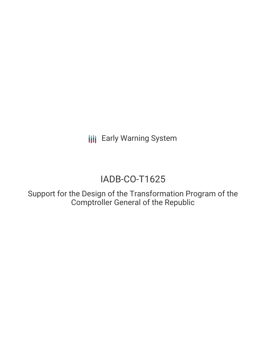**III** Early Warning System

# IADB-CO-T1625

Support for the Design of the Transformation Program of the Comptroller General of the Republic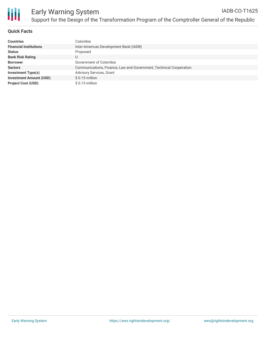

## **Quick Facts**

| <b>Countries</b>               | Colombia                                                           |
|--------------------------------|--------------------------------------------------------------------|
| <b>Financial Institutions</b>  | Inter-American Development Bank (IADB)                             |
| <b>Status</b>                  | Proposed                                                           |
| <b>Bank Risk Rating</b>        | U                                                                  |
| <b>Borrower</b>                | Government of Colombia                                             |
| <b>Sectors</b>                 | Communications, Finance, Law and Government, Technical Cooperation |
| Investment Type(s)             | <b>Advisory Services, Grant</b>                                    |
| <b>Investment Amount (USD)</b> | $$0.15$ million                                                    |
| <b>Project Cost (USD)</b>      | $$0.15$ million                                                    |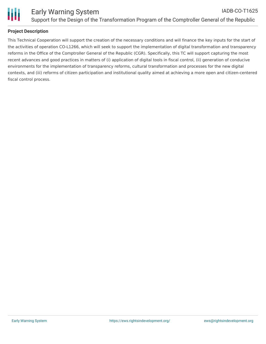

## **Project Description**

This Technical Cooperation will support the creation of the necessary conditions and will finance the key inputs for the start of the activities of operation CO-L1266, which will seek to support the implementation of digital transformation and transparency reforms in the Office of the Comptroller General of the Republic (CGR). Specifically, this TC will support capturing the most recent advances and good practices in matters of (i) application of digital tools in fiscal control, (ii) generation of conducive environments for the implementation of transparency reforms, cultural transformation and processes for the new digital contexts, and (iii) reforms of citizen participation and institutional quality aimed at achieving a more open and citizen-centered fiscal control process.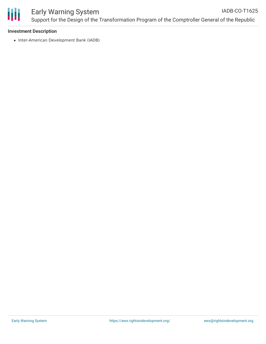

#### **Investment Description**

• Inter-American Development Bank (IADB)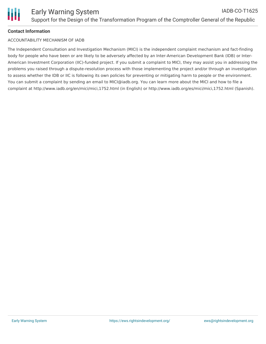## **Contact Information**

#### ACCOUNTABILITY MECHANISM OF IADB

The Independent Consultation and Investigation Mechanism (MICI) is the independent complaint mechanism and fact-finding body for people who have been or are likely to be adversely affected by an Inter-American Development Bank (IDB) or Inter-American Investment Corporation (IIC)-funded project. If you submit a complaint to MICI, they may assist you in addressing the problems you raised through a dispute-resolution process with those implementing the project and/or through an investigation to assess whether the IDB or IIC is following its own policies for preventing or mitigating harm to people or the environment. You can submit a complaint by sending an email to MICI@iadb.org. You can learn more about the MICI and how to file a complaint at http://www.iadb.org/en/mici/mici,1752.html (in English) or http://www.iadb.org/es/mici/mici,1752.html (Spanish).